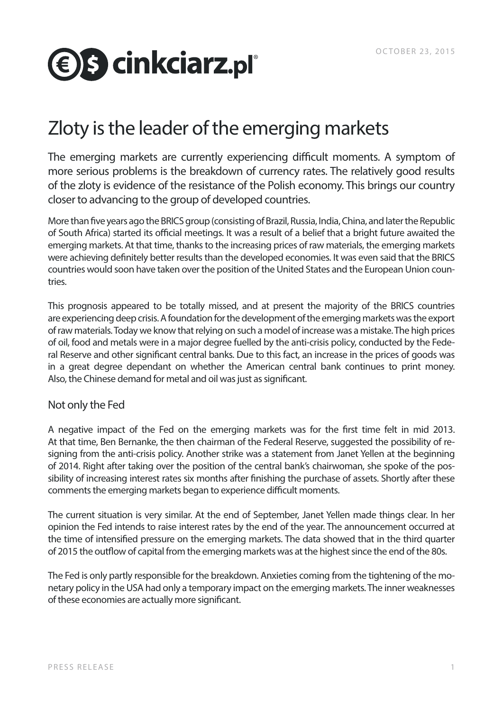# **<b>€** S cinkciarz.pl°

# Zloty is the leader of the emerging markets

The emerging markets are currently experiencing difficult moments. A symptom of more serious problems is the breakdown of currency rates. The relatively good results of the zloty is evidence of the resistance of the Polish economy. This brings our country closer to advancing to the group of developed countries.

More than five years ago the BRICS group (consisting of Brazil, Russia, India, China, and later the Republic of South Africa) started its official meetings. It was a result of a belief that a bright future awaited the emerging markets. At that time, thanks to the increasing prices of raw materials, the emerging markets were achieving definitely better results than the developed economies. It was even said that the BRICS countries would soon have taken over the position of the United States and the European Union countries.

This prognosis appeared to be totally missed, and at present the majority of the BRICS countries are experiencing deep crisis. A foundation for the development of the emerging markets was the export of raw materials. Today we know that relying on such a model of increase was a mistake. The high prices of oil, food and metals were in a major degree fuelled by the anti-crisis policy, conducted by the Federal Reserve and other significant central banks. Due to this fact, an increase in the prices of goods was in a great degree dependant on whether the American central bank continues to print money. Also, the Chinese demand for metal and oil was just as significant.

## Not only the Fed

A negative impact of the Fed on the emerging markets was for the first time felt in mid 2013. At that time, Ben Bernanke, the then chairman of the Federal Reserve, suggested the possibility of resigning from the anti-crisis policy. Another strike was a statement from Janet Yellen at the beginning of 2014. Right after taking over the position of the central bank's chairwoman, she spoke of the possibility of increasing interest rates six months after finishing the purchase of assets. Shortly after these comments the emerging markets began to experience difficult moments.

The current situation is very similar. At the end of September, Janet Yellen made things clear. In her opinion the Fed intends to raise interest rates by the end of the year. The announcement occurred at the time of intensified pressure on the emerging markets. The data showed that in the third quarter of 2015 the outflow of capital from the emerging markets was at the highest since the end of the 80s.

The Fed is only partly responsible for the breakdown. Anxieties coming from the tightening of the monetary policy in the USA had only a temporary impact on the emerging markets. The inner weaknesses of these economies are actually more significant.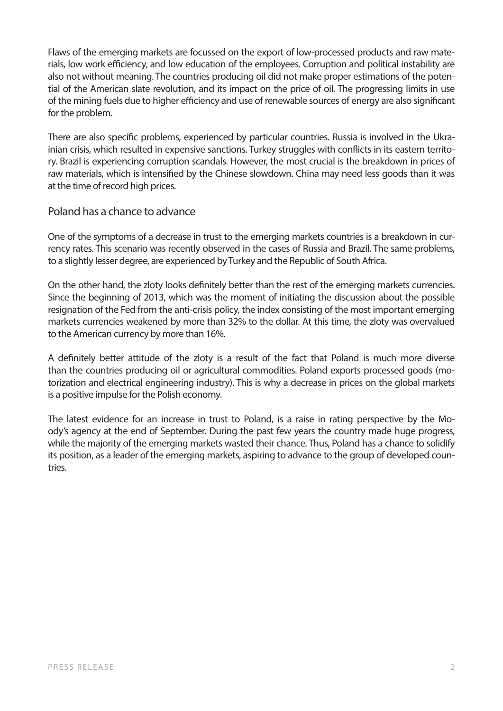Flaws of the emerging markets are focussed on the export of low-processed products and raw materials, low work efficiency, and low education of the employees. Corruption and political instability are also not without meaning. The countries producing oil did not make proper estimations of the potential of the American slate revolution, and its impact on the price of oil. The progressing limits in use of the mining fuels due to higher efficiency and use of renewable sources of energy are also significant for the problem.

There are also specific problems, experienced by particular countries. Russia is involved in the Ukrainian crisis, which resulted in expensive sanctions. Turkey struggles with conflicts in its eastern territory. Brazil is experiencing corruption scandals. However, the most crucial is the breakdown in prices of raw materials, which is intensified by the Chinese slowdown. China may need less goods than it was at the time of record high prices.

## Poland has a chance to advance

One of the symptoms of a decrease in trust to the emerging markets countries is a breakdown in currency rates. This scenario was recently observed in the cases of Russia and Brazil. The same problems, to a slightly lesser degree, are experienced by Turkey and the Republic of South Africa.

On the other hand, the zloty looks definitely better than the rest of the emerging markets currencies. Since the beginning of 2013, which was the moment of initiating the discussion about the possible resignation of the Fed from the anti-crisis policy, the index consisting of the most important emerging markets currencies weakened by more than 32% to the dollar. At this time, the zloty was overvalued to the American currency by more than 16%.

A definitely better attitude of the zloty is a result of the fact that Poland is much more diverse than the countries producing oil or agricultural commodities. Poland exports processed goods (motorization and electrical engineering industry). This is why a decrease in prices on the global markets is a positive impulse for the Polish economy.

The latest evidence for an increase in trust to Poland, is a raise in rating perspective by the Moody's agency at the end of September. During the past few years the country made huge progress, while the majority of the emerging markets wasted their chance. Thus, Poland has a chance to solidify its position, as a leader of the emerging markets, aspiring to advance to the group of developed countries.